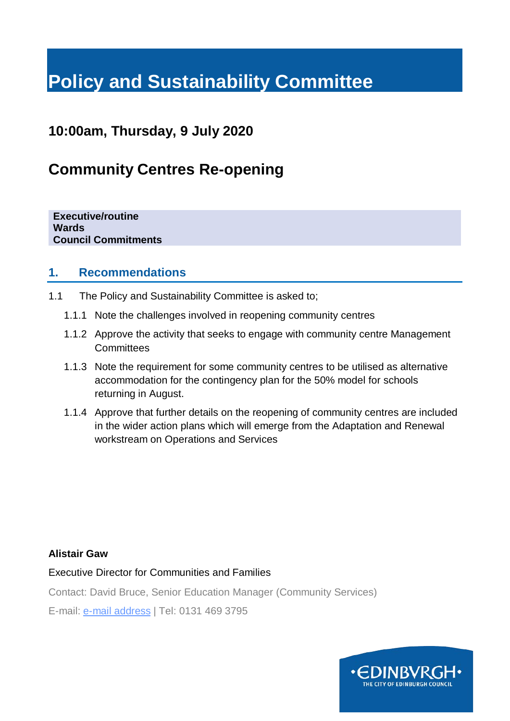# **Policy and Sustainability Committee**

# **10:00am, Thursday, 9 July 2020**

# **Community Centres Re-opening**

**Executive/routine Wards Council Commitments**

#### **1. Recommendations**

- 1.1 The Policy and Sustainability Committee is asked to;
	- 1.1.1 Note the challenges involved in reopening community centres
	- 1.1.2 Approve the activity that seeks to engage with community centre Management **Committees**
	- 1.1.3 Note the requirement for some community centres to be utilised as alternative accommodation for the contingency plan for the 50% model for schools returning in August.
	- 1.1.4 Approve that further details on the reopening of community centres are included in the wider action plans which will emerge from the Adaptation and Renewal workstream on Operations and Services

#### **Alistair Gaw**

Executive Director for Communities and Families

Contact: David Bruce, Senior Education Manager (Community Services)

E-mail: [e-mail](mailto:kirsty-louise.campbell@edinburgh.gov.uk) address | Tel: 0131 469 3795

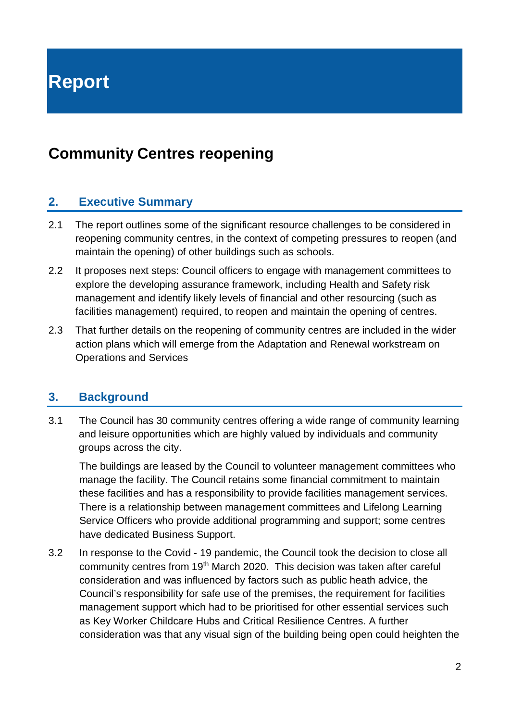**Report**

# **Community Centres reopening**

### **2. Executive Summary**

- 2.1 The report outlines some of the significant resource challenges to be considered in reopening community centres, in the context of competing pressures to reopen (and maintain the opening) of other buildings such as schools.
- 2.2 It proposes next steps: Council officers to engage with management committees to explore the developing assurance framework, including Health and Safety risk management and identify likely levels of financial and other resourcing (such as facilities management) required, to reopen and maintain the opening of centres.
- 2.3 That further details on the reopening of community centres are included in the wider action plans which will emerge from the Adaptation and Renewal workstream on Operations and Services

#### **3. Background**

 The Council has 30 community centres offering a wide range of community learning and leisure opportunities which are highly valued by individuals and community groups across the city. 3.1

The buildings are leased by the Council to volunteer management committees who manage the facility. The Council retains some financial commitment to maintain these facilities and has a responsibility to provide facilities management services. There is a relationship between management committees and Lifelong Learning Service Officers who provide additional programming and support; some centres have dedicated Business Support.

3.2 In response to the Covid - 19 pandemic, the Council took the decision to close all community centres from 19th March 2020. This decision was taken after careful consideration and was influenced by factors such as public heath advice, the Council's responsibility for safe use of the premises, the requirement for facilities management support which had to be prioritised for other essential services such as Key Worker Childcare Hubs and Critical Resilience Centres. A further consideration was that any visual sign of the building being open could heighten the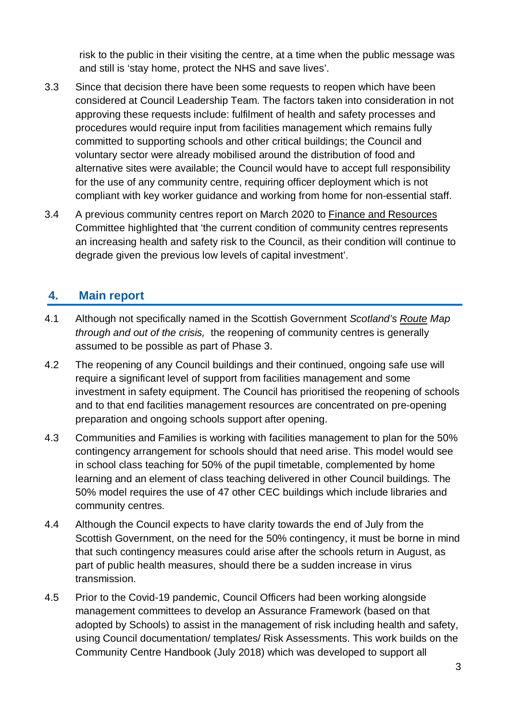risk to the public in their visiting the centre, at a time when the public message was and still is 'stay home, protect the NHS and save lives'.

- 3.3 Since that decision there have been some requests to reopen which have been considered at Council Leadership Team. The factors taken into consideration in not approving these requests include: fulfilment of health and safety processes and procedures would require input from facilities management which remains fully committed to supporting schools and other critical buildings; the Council and voluntary sector were already mobilised around the distribution of food and alternative sites were available; the Council would have to accept full responsibility for the use of any community centre, requiring officer deployment which is not compliant with key worker guidance and working from home for non-essential staff.
- 3.4 A previous community centres report on March 2020 to [Finance and Resources](https://democracy.edinburgh.gov.uk/ieListDocuments.aspx?CId=140&MId=349&Ver=4) Committee highlighted that 'the current condition of community centres represents an increasing health and safety risk to the Council, as their condition will continue to degrade given the previous low levels of capital investment'.

# **4. Main report**

- 4.1 Although not specifically named in the Scottish Government *Scotland's [Route](https://www.gov.scot/publications/coronavirus-covid-19-framework-decision-making-scotlands-route-map-through-out-crisis/) Map through and out of the crisis,* the reopening of community centres is generally assumed to be possible as part of Phase 3.
- 4.2 The reopening of any Council buildings and their continued, ongoing safe use will require a significant level of support from facilities management and some investment in safety equipment. The Council has prioritised the reopening of schools and to that end facilities management resources are concentrated on pre-opening preparation and ongoing schools support after opening.
- 4.3 Communities and Families is working with facilities management to plan for the 50% contingency arrangement for schools should that need arise. This model would see in school class teaching for 50% of the pupil timetable, complemented by home learning and an element of class teaching delivered in other Council buildings. The 50% model requires the use of 47 other CEC buildings which include libraries and community centres.
- 4.4 Although the Council expects to have clarity towards the end of July from the Scottish Government, on the need for the 50% contingency, it must be borne in mind that such contingency measures could arise after the schools return in August, as part of public health measures, should there be a sudden increase in virus transmission.
- 4.5 Prior to the Covid-19 pandemic, Council Officers had been working alongside management committees to develop an Assurance Framework (based on that adopted by Schools) to assist in the management of risk including health and safety, using Council documentation/ templates/ Risk Assessments. This work builds on the Community Centre Handbook (July 2018) which was developed to support all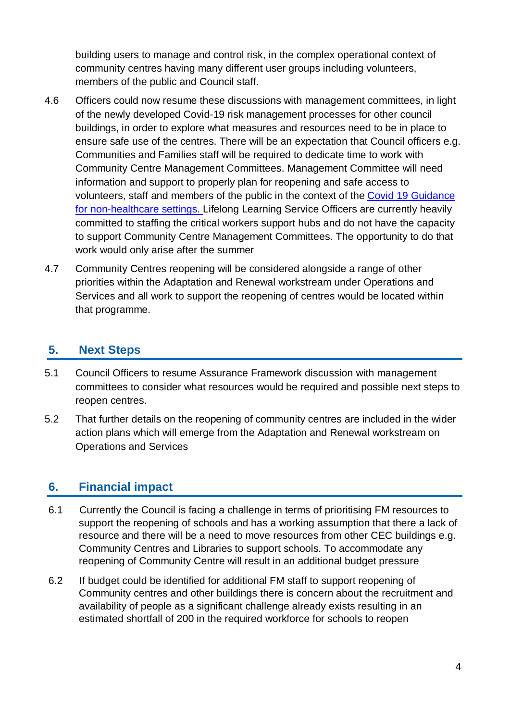building users to manage and control risk, in the complex operational context of community centres having many different user groups including volunteers, members of the public and Council staff.

- 4.6 Officers could now resume these discussions with management committees, in light of the newly developed Covid-19 risk management processes for other council buildings, in order to explore what measures and resources need to be in place to ensure safe use of the centres. There will be an expectation that Council officers e.g. Communities and Families staff will be required to dedicate time to work with Community Centre Management Committees. Management Committee will need information and support to properly plan for reopening and safe access to volunteers, staff and members of the public in the context of the [Covid 19 Guidance](https://www.hps.scot.nhs.uk/web-resources-container/covid-19-guidance-for-non-healthcare-settings/)  [for non-healthcare settings. L](https://www.hps.scot.nhs.uk/web-resources-container/covid-19-guidance-for-non-healthcare-settings/)ifelong Learning Service Officers are currently heavily committed to staffing the critical workers support hubs and do not have the capacity to support Community Centre Management Committees. The opportunity to do that work would only arise after the summer
- 4.7 Community Centres reopening will be considered alongside a range of other priorities within the Adaptation and Renewal workstream under Operations and Services and all work to support the reopening of centres would be located within that programme.

## **5. Next Steps**

- 5.1 Council Officers to resume Assurance Framework discussion with management committees to consider what resources would be required and possible next steps to reopen centres.
- 5.2 That further details on the reopening of community centres are included in the wider action plans which will emerge from the Adaptation and Renewal workstream on Operations and Services

## **6. Financial impact**

- 6.1 Currently the Council is facing a challenge in terms of prioritising FM resources to support the reopening of schools and has a working assumption that there a lack of resource and there will be a need to move resources from other CEC buildings e.g. Community Centres and Libraries to support schools. To accommodate any reopening of Community Centre will result in an additional budget pressure
- 6.2 If budget could be identified for additional FM staff to support reopening of Community centres and other buildings there is concern about the recruitment and availability of people as a significant challenge already exists resulting in an estimated shortfall of 200 in the required workforce for schools to reopen